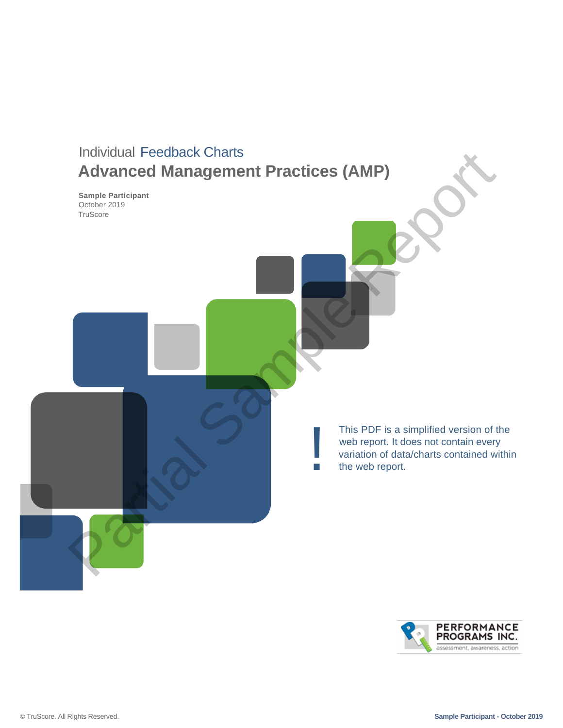

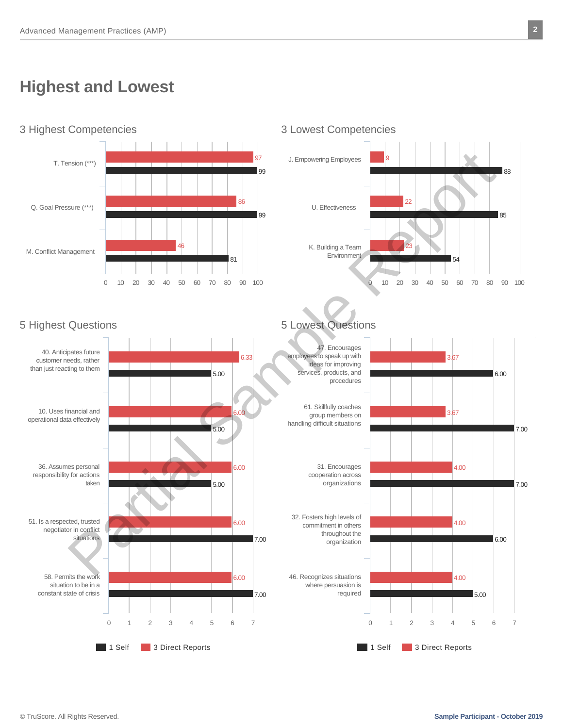# **Highest and Lowest**





### 5 Highest Questions 5 Lowest Questions



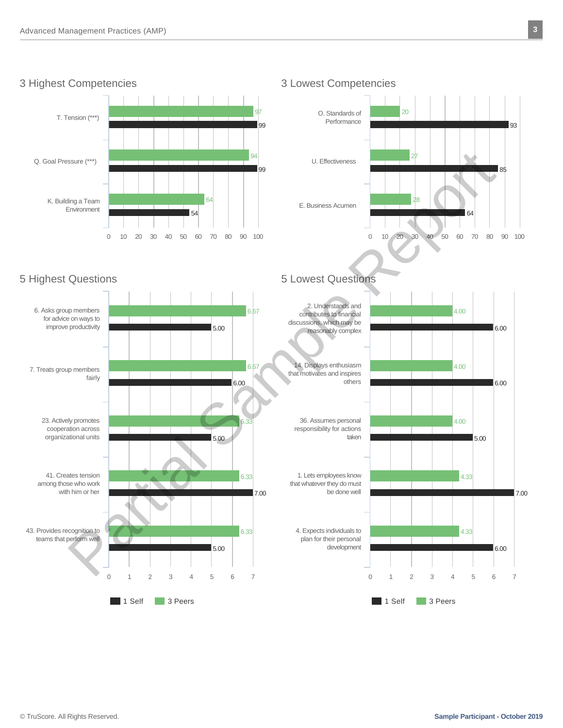

### 3 Highest Competencies 3 Lowest Competencies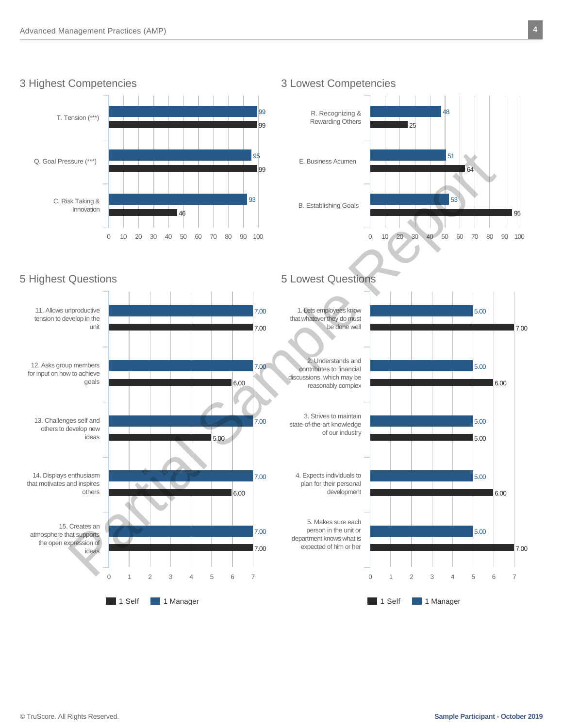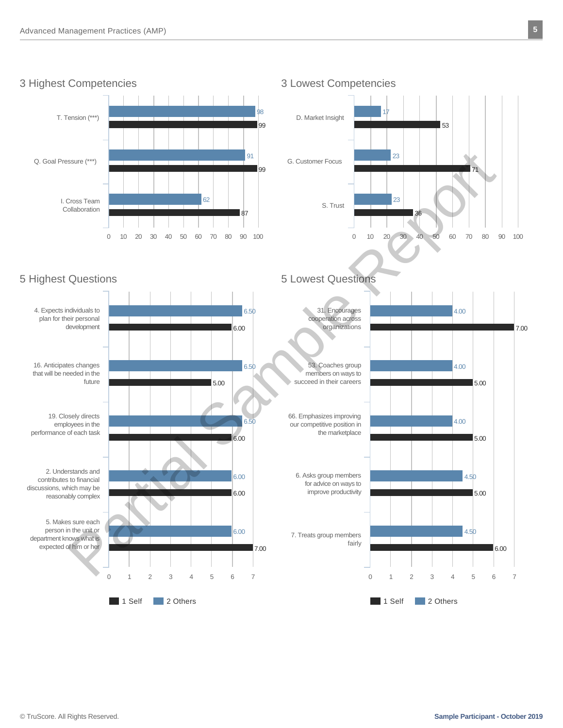

### 3 Highest Competencies 3 Lowest Competencies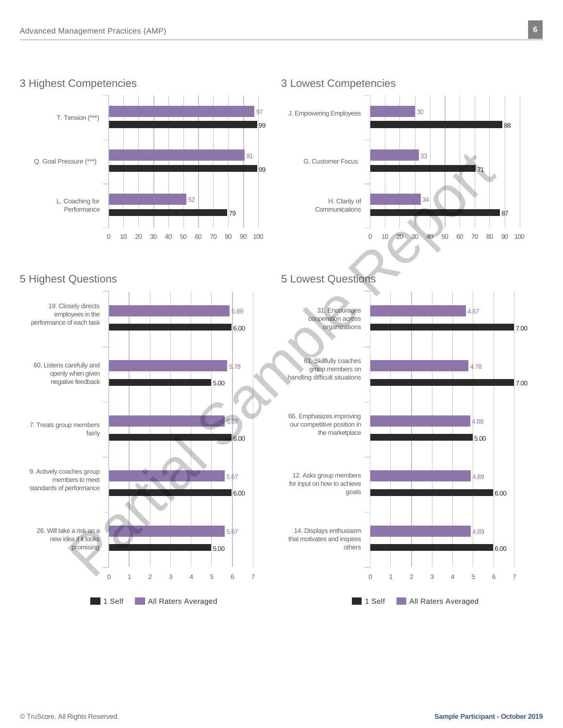

### 3 Highest Competencies 3 Lowest Competencies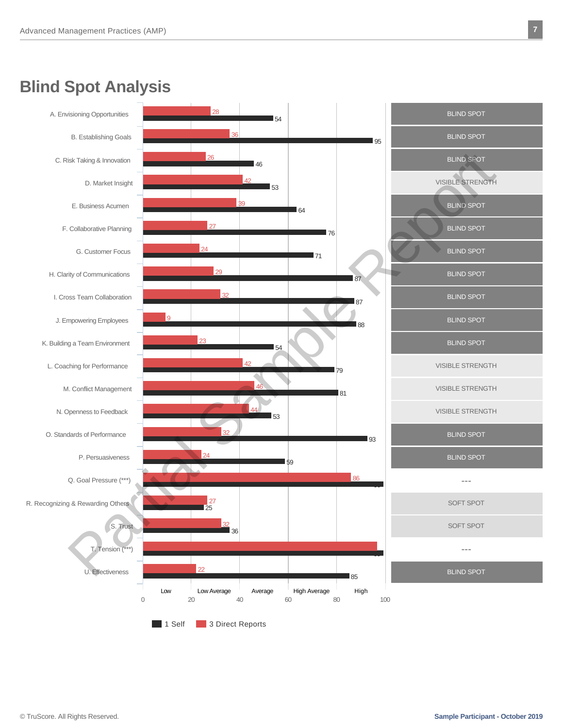# **Blind Spot Analysis**

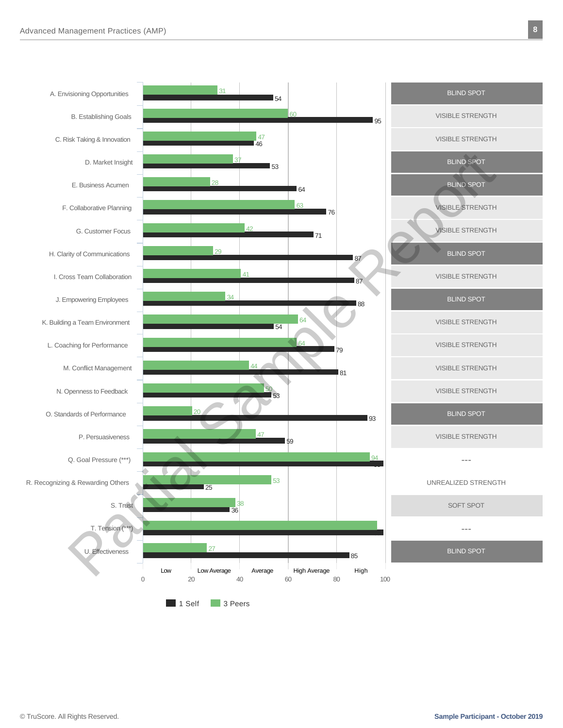A. Envisioning Opportunities

C. Risk Taking & Innovation

B. Establishing Goals

D. Market Insight

E. Business Acumen

F. Collaborative Planning

H. Clarity of Communications

I. Cross Team Collaboration

J. Empowering Employees

K. Building a Team Environment

L. Coaching for Performance

M. Conflict Management

P. Persuasiveness

S. Trust

T. Tension (\*

U. Effectiveness

Q. Goal Pressure (\*\*\*)

N. Openness to Feedback

O. Standards of Performance

R. Recognizing & Rewarding Others

G. Customer Focus



99

 $QA$ 

99

85

VISIBLE STRENGTH

---

UNREALIZED STRENGTH

SOFT SPOT

---

BLIND SPOT

1 Self 3 Peers

27

25

36

38

0 20 40 60 80 100

59

53

Low Low Average Average High Average High 20 40 60 80

47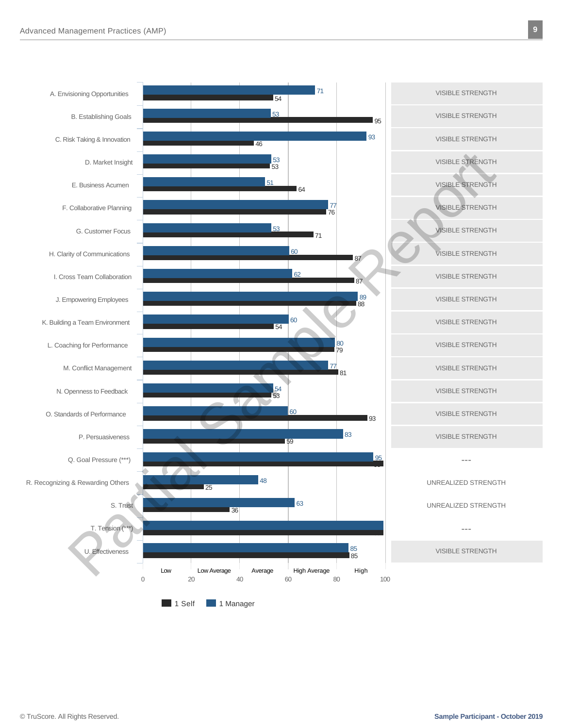

1 Self 1 Manager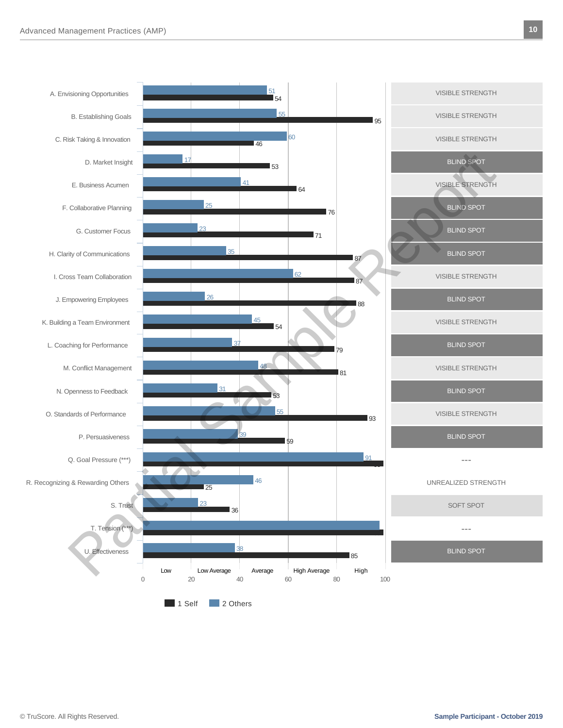

1 Self 2 Others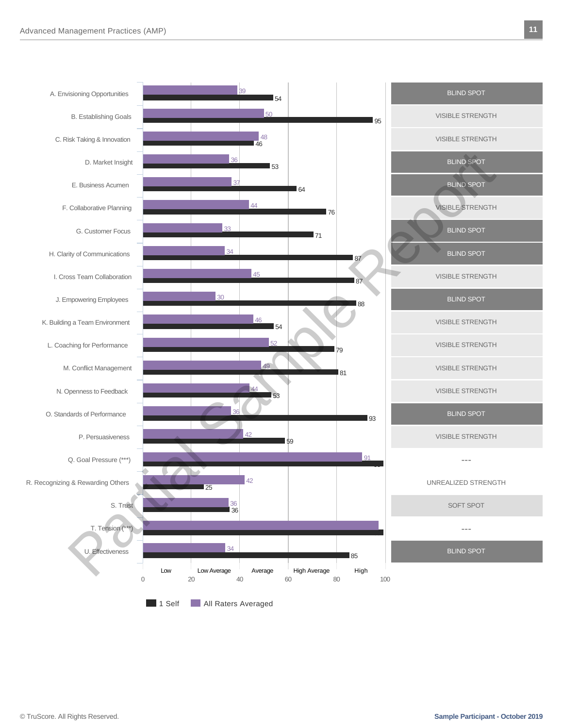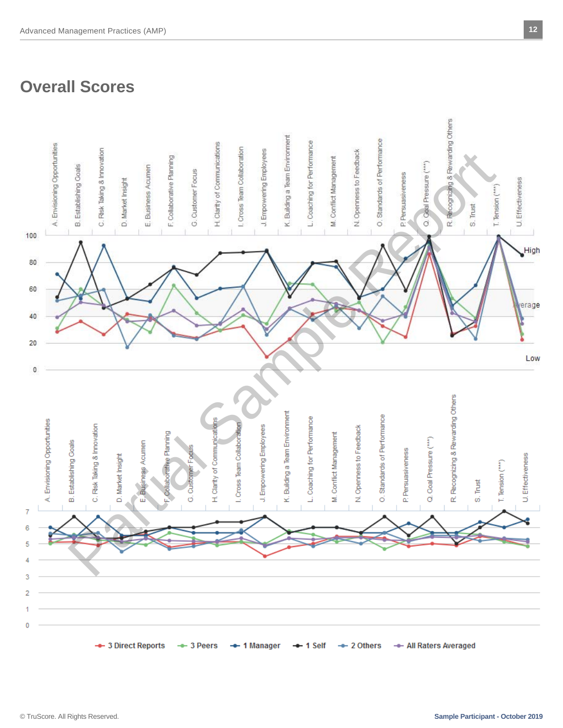# **Overall Scores**

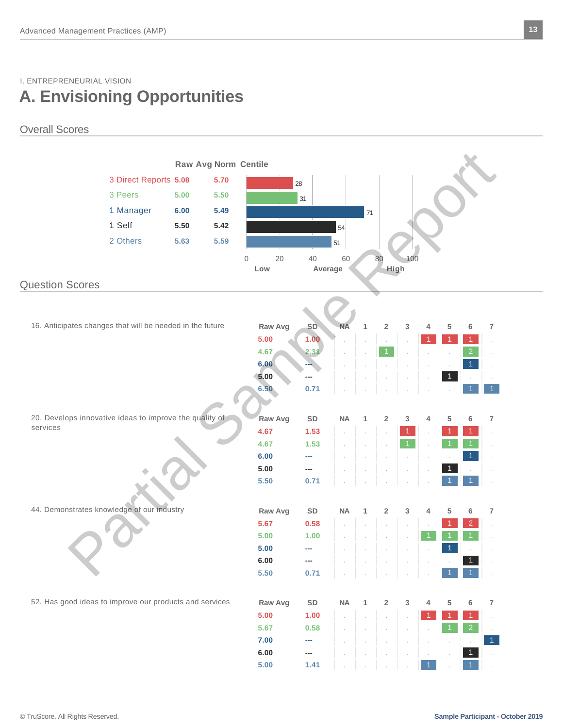### I. ENTREPRENEURIAL VISION **A. Envisioning Opportunities**

### Overall Scores



**5.00 1.41** . . . . 1 . 1 . 1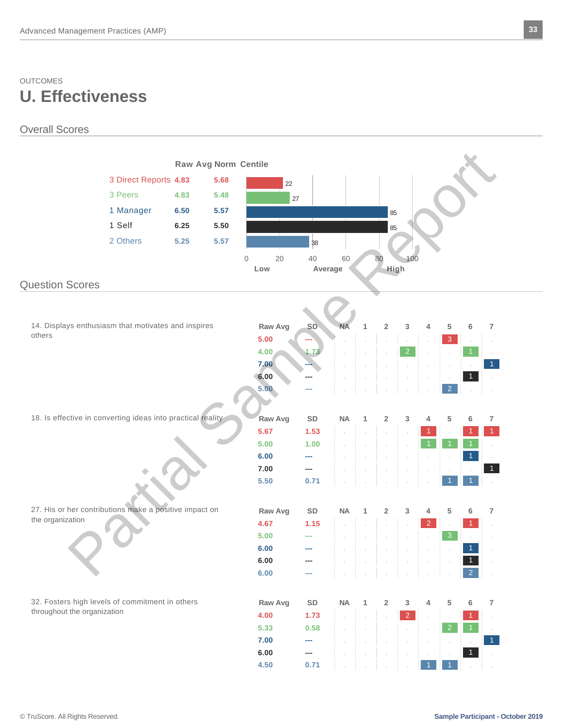### OUTCOMES **U. Effectiveness**

### Overall Scores

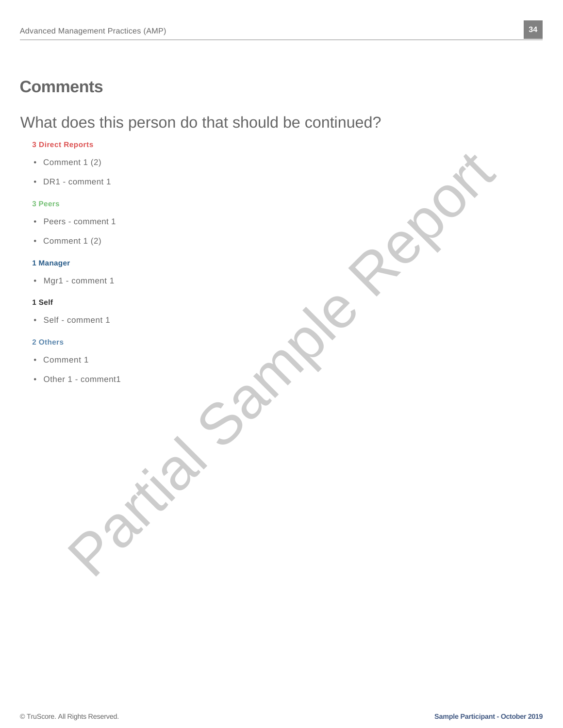## **Comments**

# What does this person do that should be continued?

### **3 Direct Reports**

- Comment 1 (2)
- DR1 comment 1

#### **3 Peers**

- Peers comment 1
- Comment 1 (2)

#### **1 Manager**

• Mgr1 - comment 1

### **1 Self**

• Self - comment 1

#### **2 Others**

- Comment 1
- Other 1 comment1 Contract Comment of the Comment of the Comment of the Comment of the Comment of the Comment of the Comment of the Comment of the Comment of the Comment of the Comment of the Comment of the Comment of the Comment of the Com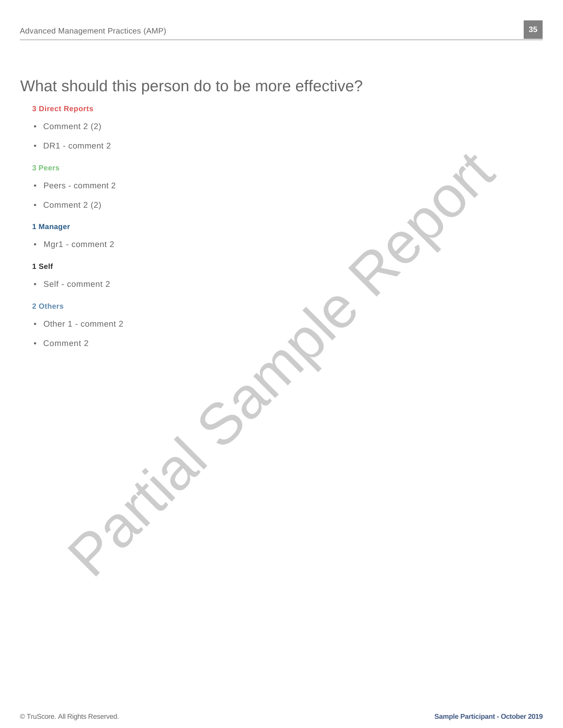# What should this person do to be more effective?

#### **3 Direct Reports**

- Comment 2 (2)
- DR1 comment 2

#### **3 Peers**

- Peers comment 2
- Comment 2 (2)

#### **1 Manager**

• Mgr1 - comment 2

#### **1 Self**

• Self - comment 2

#### **2 Others**

- Other 1 comment 2 Comment 2 Comment 2 Comment 2 Comment 2 Comment 2 Comment 2 Comment 2 Comment 2 Comment 2 Comment 2 Comment 2 Comment 2 Comment 2 Comment 2 Comment 2 Comment 2 Comment 2 Comment 2 Comment 2 Comment 2 Comment 2 Comment 2 Co
- Comment 2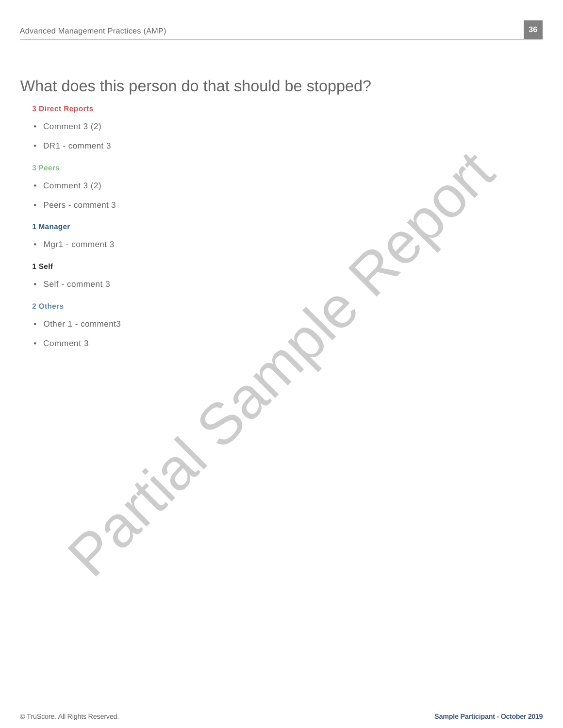# What does this person do that should be stopped?

#### **3 Direct Reports**

- Comment 3 (2)
- DR1 comment 3

#### **3 Peers**

- Comment 3 (2)
- Peers comment 3

#### **1 Manager**

• Mgr1 - comment 3

#### **1 Self**

• Self - comment 3

#### **2 Others**

- Other 1 comment3 ON CONTRACTORS
- Comment 3